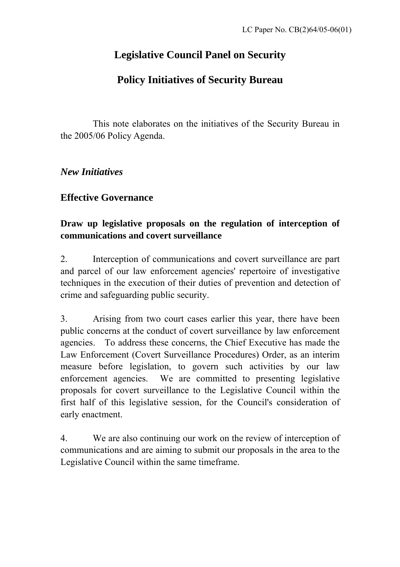# **Legislative Council Panel on Security**

# **Policy Initiatives of Security Bureau**

 This note elaborates on the initiatives of the Security Bureau in the 2005/06 Policy Agenda.

*New Initiatives* 

# **Effective Governance**

#### **Draw up legislative proposals on the regulation of interception of communications and covert surveillance**

2. Interception of communications and covert surveillance are part and parcel of our law enforcement agencies' repertoire of investigative techniques in the execution of their duties of prevention and detection of crime and safeguarding public security.

3. Arising from two court cases earlier this year, there have been public concerns at the conduct of covert surveillance by law enforcement agencies. To address these concerns, the Chief Executive has made the Law Enforcement (Covert Surveillance Procedures) Order, as an interim measure before legislation, to govern such activities by our law enforcement agencies. We are committed to presenting legislative proposals for covert surveillance to the Legislative Council within the first half of this legislative session, for the Council's consideration of early enactment.

4. We are also continuing our work on the review of interception of communications and are aiming to submit our proposals in the area to the Legislative Council within the same timeframe.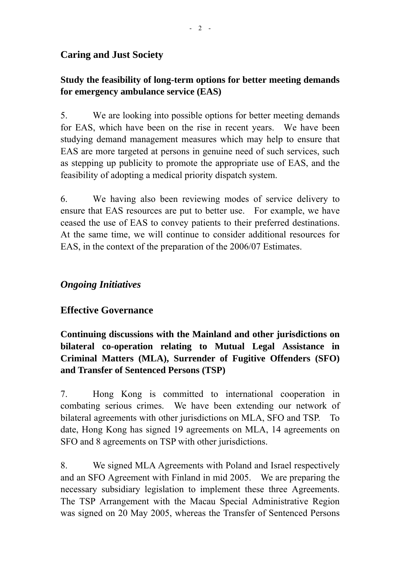# **Caring and Just Society**

# **Study the feasibility of long-term options for better meeting demands for emergency ambulance service (EAS)**

5. We are looking into possible options for better meeting demands for EAS, which have been on the rise in recent years. We have been studying demand management measures which may help to ensure that EAS are more targeted at persons in genuine need of such services, such as stepping up publicity to promote the appropriate use of EAS, and the feasibility of adopting a medical priority dispatch system.

6. We having also been reviewing modes of service delivery to ensure that EAS resources are put to better use. For example, we have ceased the use of EAS to convey patients to their preferred destinations. At the same time, we will continue to consider additional resources for EAS, in the context of the preparation of the 2006/07 Estimates.

# *Ongoing Initiatives*

# **Effective Governance**

**Continuing discussions with the Mainland and other jurisdictions on bilateral co-operation relating to Mutual Legal Assistance in Criminal Matters (MLA), Surrender of Fugitive Offenders (SFO) and Transfer of Sentenced Persons (TSP)** 

7. Hong Kong is committed to international cooperation in combating serious crimes. We have been extending our network of bilateral agreements with other jurisdictions on MLA, SFO and TSP. To date, Hong Kong has signed 19 agreements on MLA, 14 agreements on SFO and 8 agreements on TSP with other jurisdictions.

8. We signed MLA Agreements with Poland and Israel respectively and an SFO Agreement with Finland in mid 2005. We are preparing the necessary subsidiary legislation to implement these three Agreements. The TSP Arrangement with the Macau Special Administrative Region was signed on 20 May 2005, whereas the Transfer of Sentenced Persons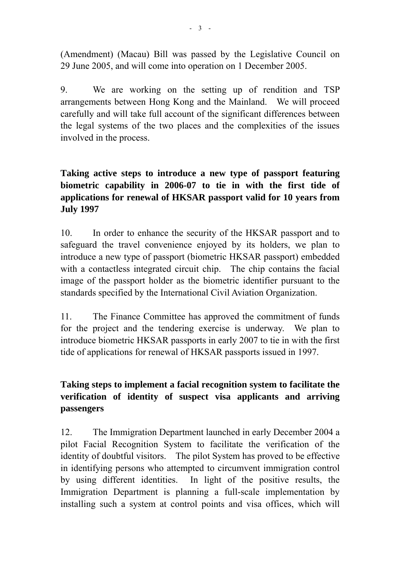(Amendment) (Macau) Bill was passed by the Legislative Council on 29 June 2005, and will come into operation on 1 December 2005.

9. We are working on the setting up of rendition and TSP arrangements between Hong Kong and the Mainland. We will proceed carefully and will take full account of the significant differences between the legal systems of the two places and the complexities of the issues involved in the process.

#### **Taking active steps to introduce a new type of passport featuring biometric capability in 2006-07 to tie in with the first tide of applications for renewal of HKSAR passport valid for 10 years from July 1997**

10. In order to enhance the security of the HKSAR passport and to safeguard the travel convenience enjoyed by its holders, we plan to introduce a new type of passport (biometric HKSAR passport) embedded with a contactless integrated circuit chip. The chip contains the facial image of the passport holder as the biometric identifier pursuant to the standards specified by the International Civil Aviation Organization.

11. The Finance Committee has approved the commitment of funds for the project and the tendering exercise is underway. We plan to introduce biometric HKSAR passports in early 2007 to tie in with the first tide of applications for renewal of HKSAR passports issued in 1997.

#### **Taking steps to implement a facial recognition system to facilitate the verification of identity of suspect visa applicants and arriving passengers**

12. The Immigration Department launched in early December 2004 a pilot Facial Recognition System to facilitate the verification of the identity of doubtful visitors. The pilot System has proved to be effective in identifying persons who attempted to circumvent immigration control by using different identities. In light of the positive results, the Immigration Department is planning a full-scale implementation by installing such a system at control points and visa offices, which will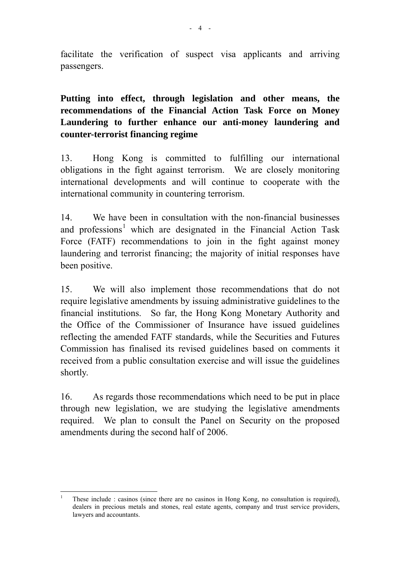facilitate the verification of suspect visa applicants and arriving passengers.

**Putting into effect, through legislation and other means, the recommendations of the Financial Action Task Force on Money Laundering to further enhance our anti-money laundering and counter-terrorist financing regime** 

13. Hong Kong is committed to fulfilling our international obligations in the fight against terrorism. We are closely monitoring international developments and will continue to cooperate with the international community in countering terrorism.

14. We have been in consultation with the non-financial businesses and professions<sup>[1](#page-3-0)</sup> which are designated in the Financial Action Task Force (FATF) recommendations to join in the fight against money laundering and terrorist financing; the majority of initial responses have been positive.

15. We will also implement those recommendations that do not require legislative amendments by issuing administrative guidelines to the financial institutions. So far, the Hong Kong Monetary Authority and the Office of the Commissioner of Insurance have issued guidelines reflecting the amended FATF standards, while the Securities and Futures Commission has finalised its revised guidelines based on comments it received from a public consultation exercise and will issue the guidelines shortly.

16. As regards those recommendations which need to be put in place through new legislation, we are studying the legislative amendments required. We plan to consult the Panel on Security on the proposed amendments during the second half of 2006.

<span id="page-3-0"></span> $\overline{a}$ 1 These include : casinos (since there are no casinos in Hong Kong, no consultation is required), dealers in precious metals and stones, real estate agents, company and trust service providers, lawyers and accountants.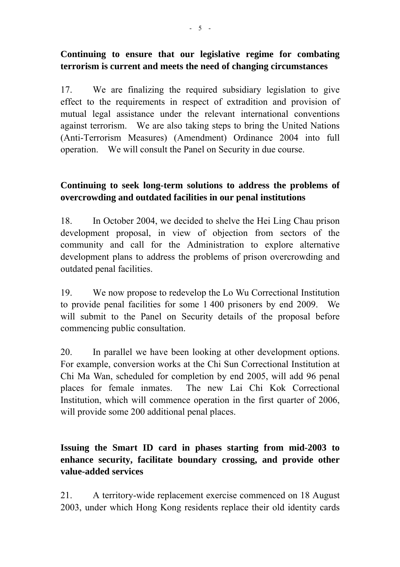#### **Continuing to ensure that our legislative regime for combating terrorism is current and meets the need of changing circumstances**

17. We are finalizing the required subsidiary legislation to give effect to the requirements in respect of extradition and provision of mutual legal assistance under the relevant international conventions against terrorism. We are also taking steps to bring the United Nations (Anti-Terrorism Measures) (Amendment) Ordinance 2004 into full operation. We will consult the Panel on Security in due course.

#### **Continuing to seek long-term solutions to address the problems of overcrowding and outdated facilities in our penal institutions**

18. In October 2004, we decided to shelve the Hei Ling Chau prison development proposal, in view of objection from sectors of the community and call for the Administration to explore alternative development plans to address the problems of prison overcrowding and outdated penal facilities.

19. We now propose to redevelop the Lo Wu Correctional Institution to provide penal facilities for some 1 400 prisoners by end 2009. We will submit to the Panel on Security details of the proposal before commencing public consultation.

20. In parallel we have been looking at other development options. For example, conversion works at the Chi Sun Correctional Institution at Chi Ma Wan, scheduled for completion by end 2005, will add 96 penal places for female inmates. The new Lai Chi Kok Correctional Institution, which will commence operation in the first quarter of 2006, will provide some 200 additional penal places.

# **Issuing the Smart ID card in phases starting from mid-2003 to enhance security, facilitate boundary crossing, and provide other value-added services**

21. A territory-wide replacement exercise commenced on 18 August 2003, under which Hong Kong residents replace their old identity cards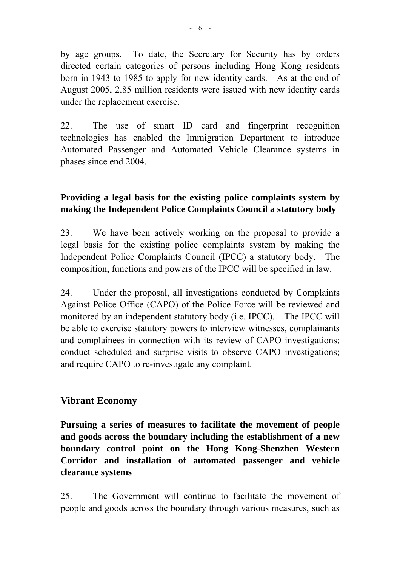by age groups. To date, the Secretary for Security has by orders directed certain categories of persons including Hong Kong residents born in 1943 to 1985 to apply for new identity cards. As at the end of August 2005, 2.85 million residents were issued with new identity cards under the replacement exercise.

22. The use of smart ID card and fingerprint recognition technologies has enabled the Immigration Department to introduce Automated Passenger and Automated Vehicle Clearance systems in phases since end 2004.

#### **Providing a legal basis for the existing police complaints system by making the Independent Police Complaints Council a statutory body**

23. We have been actively working on the proposal to provide a legal basis for the existing police complaints system by making the Independent Police Complaints Council (IPCC) a statutory body. The composition, functions and powers of the IPCC will be specified in law.

24. Under the proposal, all investigations conducted by Complaints Against Police Office (CAPO) of the Police Force will be reviewed and monitored by an independent statutory body (i.e. IPCC). The IPCC will be able to exercise statutory powers to interview witnesses, complainants and complainees in connection with its review of CAPO investigations; conduct scheduled and surprise visits to observe CAPO investigations; and require CAPO to re-investigate any complaint.

#### **Vibrant Economy**

**Pursuing a series of measures to facilitate the movement of people and goods across the boundary including the establishment of a new boundary control point on the Hong Kong-Shenzhen Western Corridor and installation of automated passenger and vehicle clearance systems** 

25. The Government will continue to facilitate the movement of people and goods across the boundary through various measures, such as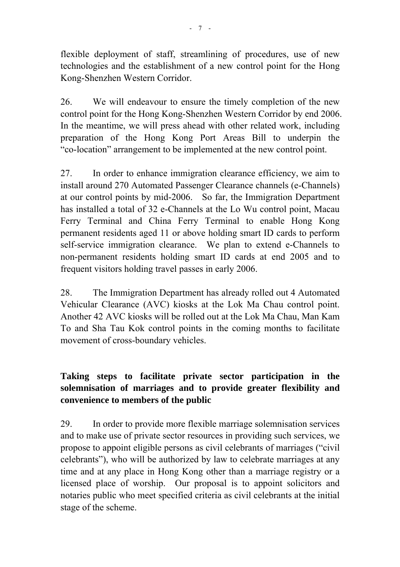flexible deployment of staff, streamlining of procedures, use of new technologies and the establishment of a new control point for the Hong Kong-Shenzhen Western Corridor.

26. We will endeavour to ensure the timely completion of the new control point for the Hong Kong-Shenzhen Western Corridor by end 2006. In the meantime, we will press ahead with other related work, including preparation of the Hong Kong Port Areas Bill to underpin the "co-location" arrangement to be implemented at the new control point.

27. In order to enhance immigration clearance efficiency, we aim to install around 270 Automated Passenger Clearance channels (e-Channels) at our control points by mid-2006. So far, the Immigration Department has installed a total of 32 e-Channels at the Lo Wu control point, Macau Ferry Terminal and China Ferry Terminal to enable Hong Kong permanent residents aged 11 or above holding smart ID cards to perform self-service immigration clearance. We plan to extend e-Channels to non-permanent residents holding smart ID cards at end 2005 and to frequent visitors holding travel passes in early 2006.

28. The Immigration Department has already rolled out 4 Automated Vehicular Clearance (AVC) kiosks at the Lok Ma Chau control point. Another 42 AVC kiosks will be rolled out at the Lok Ma Chau, Man Kam To and Sha Tau Kok control points in the coming months to facilitate movement of cross-boundary vehicles.

# **Taking steps to facilitate private sector participation in the solemnisation of marriages and to provide greater flexibility and convenience to members of the public**

29. In order to provide more flexible marriage solemnisation services and to make use of private sector resources in providing such services, we propose to appoint eligible persons as civil celebrants of marriages ("civil celebrants"), who will be authorized by law to celebrate marriages at any time and at any place in Hong Kong other than a marriage registry or a licensed place of worship. Our proposal is to appoint solicitors and notaries public who meet specified criteria as civil celebrants at the initial stage of the scheme.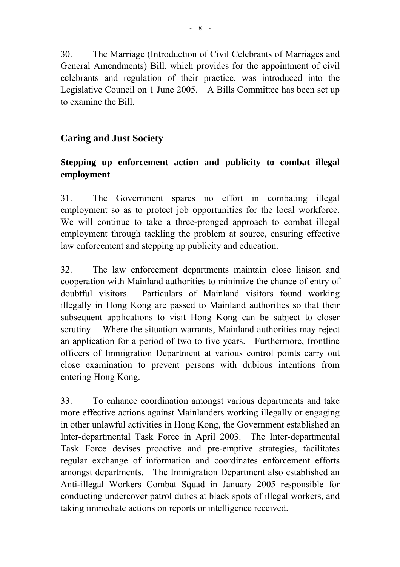30. The Marriage (Introduction of Civil Celebrants of Marriages and General Amendments) Bill, which provides for the appointment of civil celebrants and regulation of their practice, was introduced into the Legislative Council on 1 June 2005. A Bills Committee has been set up to examine the Bill.

# **Caring and Just Society**

#### **Stepping up enforcement action and publicity to combat illegal employment**

31. The Government spares no effort in combating illegal employment so as to protect job opportunities for the local workforce. We will continue to take a three-pronged approach to combat illegal employment through tackling the problem at source, ensuring effective law enforcement and stepping up publicity and education.

32. The law enforcement departments maintain close liaison and cooperation with Mainland authorities to minimize the chance of entry of doubtful visitors. Particulars of Mainland visitors found working illegally in Hong Kong are passed to Mainland authorities so that their subsequent applications to visit Hong Kong can be subject to closer scrutiny. Where the situation warrants, Mainland authorities may reject an application for a period of two to five years. Furthermore, frontline officers of Immigration Department at various control points carry out close examination to prevent persons with dubious intentions from entering Hong Kong.

33. To enhance coordination amongst various departments and take more effective actions against Mainlanders working illegally or engaging in other unlawful activities in Hong Kong, the Government established an Inter-departmental Task Force in April 2003. The Inter-departmental Task Force devises proactive and pre-emptive strategies, facilitates regular exchange of information and coordinates enforcement efforts amongst departments. The Immigration Department also established an Anti-illegal Workers Combat Squad in January 2005 responsible for conducting undercover patrol duties at black spots of illegal workers, and taking immediate actions on reports or intelligence received.